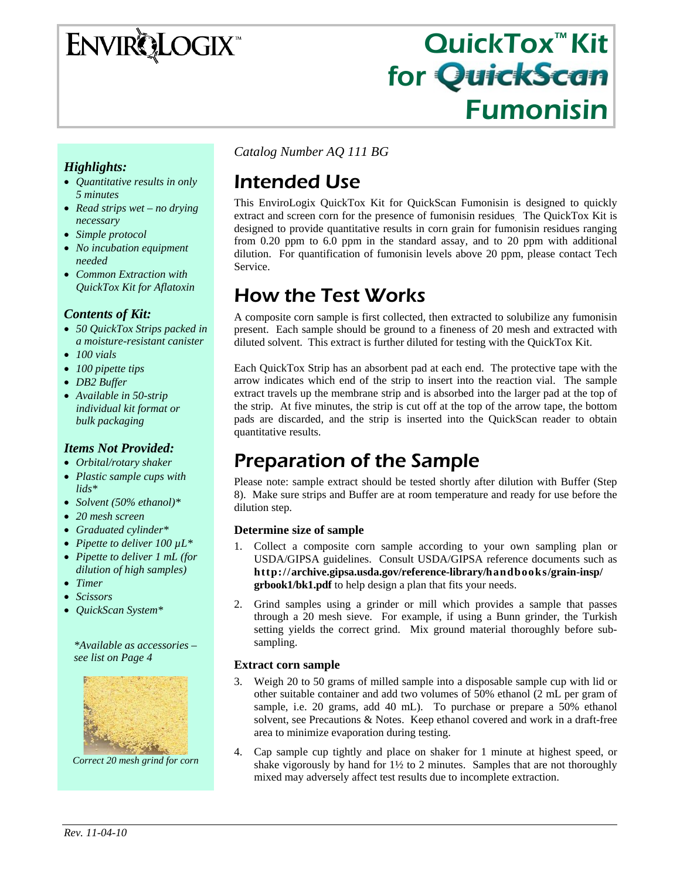# **ENVIRQLOGIX**

# QuickTox™ Kit for QuickScan Fumonisin

#### *Highlights:*

- *Quantitative results in only 5 minutes*
- *Read strips wet no drying necessary*
- *Simple protocol*
- *No incubation equipment needed*
- *Common Extraction with QuickTox Kit for Aflatoxin*

#### *Contents of Kit:*

- *50 QuickTox Strips packed in a moisture-resistant canister*
- *100 vials*
- *100 pipette tips*
- *DB2 Buffer*
- *Available in 50-strip individual kit format or bulk packaging*

#### *Items Not Provided:*

- *Orbital/rotary shaker*
- *Plastic sample cups with lids\**
- *Solvent (50% ethanol)\**
- *20 mesh screen*
- *Graduated cylinder\**
- *Pipette to deliver 100 µL\**
- *Pipette to deliver 1 mL (for dilution of high samples)*
- *Timer*
- *Scissors*
- *QuickScan System\**

*\*Available as accessories – see list on Page 4* 



*Correct 20 mesh grind for corn* 

*Catalog Number AQ 111 BG*

# Intended Use

This EnviroLogix QuickTox Kit for QuickScan Fumonisin is designed to quickly extract and screen corn for the presence of fumonisin residues. The QuickTox Kit is designed to provide quantitative results in corn grain for fumonisin residues ranging from 0.20 ppm to 6.0 ppm in the standard assay, and to 20 ppm with additional dilution. For quantification of fumonisin levels above 20 ppm, please contact Tech Service.

### How the Test Works

A composite corn sample is first collected, then extracted to solubilize any fumonisin present. Each sample should be ground to a fineness of 20 mesh and extracted with diluted solvent. This extract is further diluted for testing with the QuickTox Kit.

Each QuickTox Strip has an absorbent pad at each end. The protective tape with the arrow indicates which end of the strip to insert into the reaction vial. The sample extract travels up the membrane strip and is absorbed into the larger pad at the top of the strip. At five minutes, the strip is cut off at the top of the arrow tape, the bottom pads are discarded, and the strip is inserted into the QuickScan reader to obtain quantitative results.

# Preparation of the Sample

Please note: sample extract should be tested shortly after dilution with Buffer (Step 8). Make sure strips and Buffer are at room temperature and ready for use before the dilution step.

#### **Determine size of sample**

- 1. Collect a composite corn sample according to your own sampling plan or USDA/GIPSA guidelines. Consult USDA/GIPSA reference documents such as **http://archive.gipsa.usda.gov/reference-library/handbooks/grain-insp/ grbook1/bk1.pdf** to help design a plan that fits your needs.
- 2. Grind samples using a grinder or mill which provides a sample that passes through a 20 mesh sieve. For example, if using a Bunn grinder, the Turkish setting yields the correct grind. Mix ground material thoroughly before subsampling.

#### **Extract corn sample**

- 3. Weigh 20 to 50 grams of milled sample into a disposable sample cup with lid or other suitable container and add two volumes of 50% ethanol (2 mL per gram of sample, i.e. 20 grams, add 40 mL). To purchase or prepare a 50% ethanol solvent, see Precautions & Notes. Keep ethanol covered and work in a draft-free area to minimize evaporation during testing.
- 4. Cap sample cup tightly and place on shaker for 1 minute at highest speed, or shake vigorously by hand for  $1\frac{1}{2}$  to 2 minutes. Samples that are not thoroughly mixed may adversely affect test results due to incomplete extraction.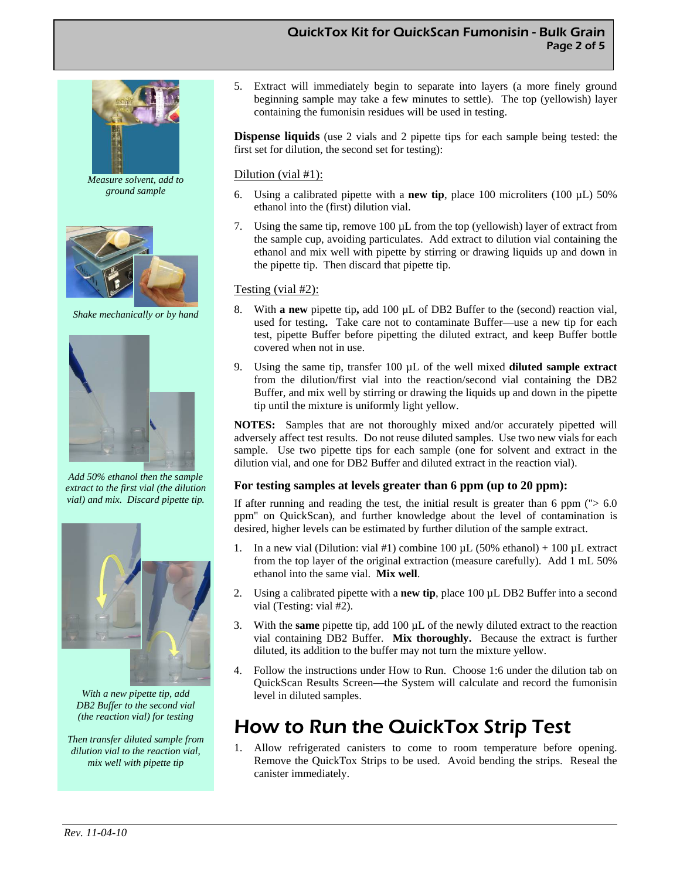#### QuickTox Kit for QuickScan Fumonisin - Bulk Grain Page 2 of 5



*Measure solvent, add to ground sample* 



*Shake mechanically or by hand* 



*Add 50% ethanol then the sample extract to the first vial (the dilution vial) and mix. Discard pipette tip.* 



*With a new pipette tip, add DB2 Buffer to the second vial (the reaction vial) for testing* 

*Then transfer diluted sample from dilution vial to the reaction vial, mix well with pipette tip* 

5. Extract will immediately begin to separate into layers (a more finely ground beginning sample may take a few minutes to settle). The top (yellowish) layer containing the fumonisin residues will be used in testing.

**Dispense liquids** (use 2 vials and 2 pipette tips for each sample being tested: the first set for dilution, the second set for testing):

#### Dilution (vial #1):

- 6. Using a calibrated pipette with a **new tip**, place 100 microliters (100 µL) 50% ethanol into the (first) dilution vial.
- 7. Using the same tip, remove 100 µL from the top (yellowish) layer of extract from the sample cup, avoiding particulates. Add extract to dilution vial containing the ethanol and mix well with pipette by stirring or drawing liquids up and down in the pipette tip. Then discard that pipette tip.

#### Testing (vial #2):

- 8. With **a new** pipette tip**,** add 100 µL of DB2 Buffer to the (second) reaction vial, used for testing**.** Take care not to contaminate Buffer—use a new tip for each test, pipette Buffer before pipetting the diluted extract, and keep Buffer bottle covered when not in use.
- 9. Using the same tip, transfer 100 µL of the well mixed **diluted sample extract**  from the dilution/first vial into the reaction/second vial containing the DB2 Buffer, and mix well by stirring or drawing the liquids up and down in the pipette tip until the mixture is uniformly light yellow.

**NOTES:** Samples that are not thoroughly mixed and/or accurately pipetted will adversely affect test results. Do not reuse diluted samples. Use two new vials for each sample. Use two pipette tips for each sample (one for solvent and extract in the dilution vial, and one for DB2 Buffer and diluted extract in the reaction vial).

#### **For testing samples at levels greater than 6 ppm (up to 20 ppm):**

If after running and reading the test, the initial result is greater than 6 ppm  $($  $> 6.0$ ppm" on QuickScan), and further knowledge about the level of contamination is desired, higher levels can be estimated by further dilution of the sample extract.

- In a new vial (Dilution: vial #1) combine 100  $\mu$ L (50% ethanol) + 100  $\mu$ L extract from the top layer of the original extraction (measure carefully). Add 1 mL 50% ethanol into the same vial. **Mix well**.
- 2. Using a calibrated pipette with a **new tip**, place 100 µL DB2 Buffer into a second vial (Testing: vial #2).
- 3. With the **same** pipette tip, add 100 µL of the newly diluted extract to the reaction vial containing DB2 Buffer. **Mix thoroughly.** Because the extract is further diluted, its addition to the buffer may not turn the mixture yellow.
- 4. Follow the instructions under How to Run. Choose 1:6 under the dilution tab on QuickScan Results Screen—the System will calculate and record the fumonisin level in diluted samples.

### How to Run the QuickTox Strip Test

1. Allow refrigerated canisters to come to room temperature before opening. Remove the QuickTox Strips to be used. Avoid bending the strips. Reseal the canister immediately.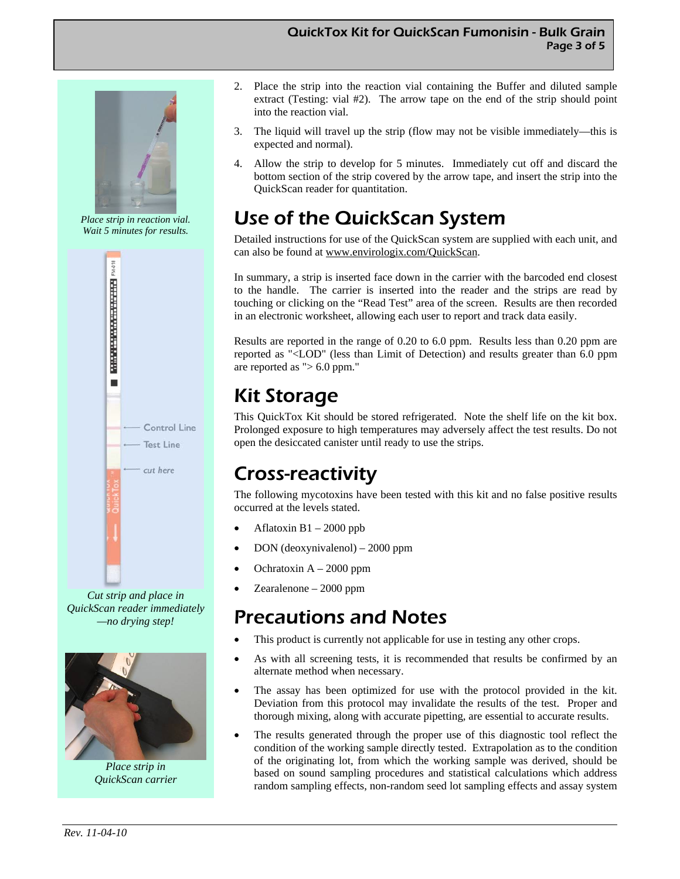#### QuickTox Kit for QuickScan Fumonisin - Bulk Grain Page 3 of 5



*Place strip in reaction vial. Wait 5 minutes for results.* 



*Cut strip and place in QuickScan reader immediately —no drying step!* 



*Place strip in QuickScan carrier* 

- 2. Place the strip into the reaction vial containing the Buffer and diluted sample extract (Testing: vial #2). The arrow tape on the end of the strip should point into the reaction vial.
- 3. The liquid will travel up the strip (flow may not be visible immediately—this is expected and normal).
- 4. Allow the strip to develop for 5 minutes. Immediately cut off and discard the bottom section of the strip covered by the arrow tape, and insert the strip into the QuickScan reader for quantitation.

# Use of the QuickScan System

Detailed instructions for use of the QuickScan system are supplied with each unit, and can also be found at www.envirologix.com/QuickScan.

In summary, a strip is inserted face down in the carrier with the barcoded end closest to the handle. The carrier is inserted into the reader and the strips are read by touching or clicking on the "Read Test" area of the screen. Results are then recorded in an electronic worksheet, allowing each user to report and track data easily.

Results are reported in the range of 0.20 to 6.0 ppm. Results less than 0.20 ppm are reported as "<LOD" (less than Limit of Detection) and results greater than 6.0 ppm are reported as " $> 6.0$  ppm."

# Kit Storage

This QuickTox Kit should be stored refrigerated. Note the shelf life on the kit box. Prolonged exposure to high temperatures may adversely affect the test results. Do not open the desiccated canister until ready to use the strips.

## Cross-reactivity

The following mycotoxins have been tested with this kit and no false positive results occurred at the levels stated.

- Aflatoxin  $B1 2000$  ppb
- DON (deoxynivalenol) 2000 ppm
- Ochratoxin  $A 2000$  ppm
- Zearalenone 2000 ppm

### Precautions and Notes

- This product is currently not applicable for use in testing any other crops.
- As with all screening tests, it is recommended that results be confirmed by an alternate method when necessary.
- The assay has been optimized for use with the protocol provided in the kit. Deviation from this protocol may invalidate the results of the test. Proper and thorough mixing, along with accurate pipetting, are essential to accurate results.
- The results generated through the proper use of this diagnostic tool reflect the condition of the working sample directly tested. Extrapolation as to the condition of the originating lot, from which the working sample was derived, should be based on sound sampling procedures and statistical calculations which address random sampling effects, non-random seed lot sampling effects and assay system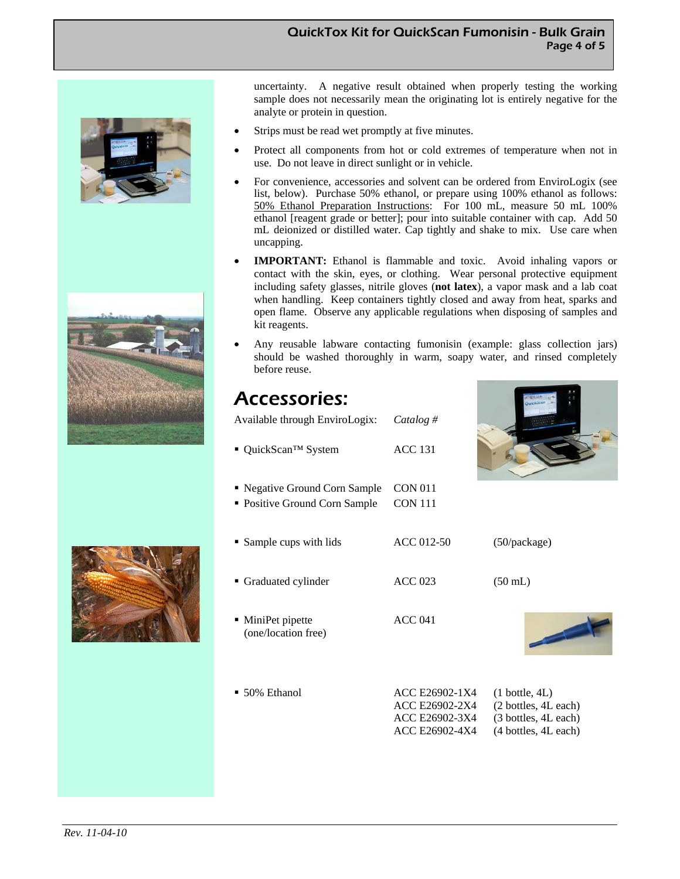#### QuickTox Kit for QuickScan Fumonisin - Bulk Grain Page 4 of 5







uncertainty. A negative result obtained when properly testing the working sample does not necessarily mean the originating lot is entirely negative for the analyte or protein in question.

- Strips must be read wet promptly at five minutes.
- Protect all components from hot or cold extremes of temperature when not in use. Do not leave in direct sunlight or in vehicle.
- For convenience, accessories and solvent can be ordered from EnviroLogix (see list, below). Purchase 50% ethanol, or prepare using 100% ethanol as follows: 50% Ethanol Preparation Instructions: For 100 mL, measure 50 mL 100% ethanol [reagent grade or better]; pour into suitable container with cap. Add 50 mL deionized or distilled water. Cap tightly and shake to mix. Use care when uncapping.
- **IMPORTANT:** Ethanol is flammable and toxic. Avoid inhaling vapors or contact with the skin, eyes, or clothing. Wear personal protective equipment including safety glasses, nitrile gloves (**not latex**), a vapor mask and a lab coat when handling. Keep containers tightly closed and away from heat, sparks and open flame. Observe any applicable regulations when disposing of samples and kit reagents.
- Any reusable labware contacting fumonisin (example: glass collection jars) should be washed thoroughly in warm, soapy water, and rinsed completely before reuse.

### Accessories:

| Available through EnviroLogix:           | Catalog #      |                   |
|------------------------------------------|----------------|-------------------|
| ■ QuickScan <sup>TM</sup> System         | <b>ACC 131</b> |                   |
| • Negative Ground Corn Sample            | <b>CON 011</b> |                   |
| • Positive Ground Corn Sample            | <b>CON 111</b> |                   |
| • Sample cups with lids                  | ACC 012-50     | (50/package)      |
| • Graduated cylinder                     | $ACC$ 023      | $(50 \text{ mL})$ |
| • MiniPet pipette<br>(one/location free) | <b>ACC 041</b> |                   |

 $-50\%$  Ethanol

| 50% Ethanol | ACC E26902-1X4 | $(1 \text{ bottle}, 4L)$ |
|-------------|----------------|--------------------------|
|             | ACC E26902-2X4 | (2 bottles, 4L each)     |
|             | ACC E26902-3X4 | (3 bottles, 4L each)     |
|             | ACC E26902-4X4 | (4 bottles, 4L each)     |
|             |                |                          |